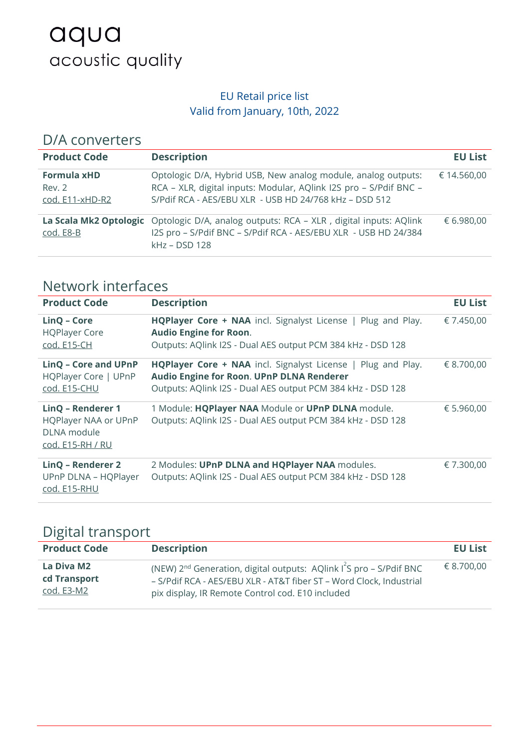# aqua acoustic quality

#### EU Retail price list Valid from January, 10th, 2022

| D/A converters                                  |                                                                                                                                                                                              |                |
|-------------------------------------------------|----------------------------------------------------------------------------------------------------------------------------------------------------------------------------------------------|----------------|
| <b>Product Code</b>                             | <b>Description</b>                                                                                                                                                                           | <b>EU List</b> |
| <b>Formula xHD</b><br>Rev. 2<br>cod. E11-xHD-R2 | Optologic D/A, Hybrid USB, New analog module, analog outputs:<br>RCA - XLR, digital inputs: Modular, AQlink I2S pro - S/Pdif BNC -<br>S/Pdif RCA - AES/EBU XLR - USB HD 24/768 kHz - DSD 512 | € 14.560,00    |
| cod. E8-B                                       | La Scala Mk2 Optologic Optologic D/A, analog outputs: RCA - XLR, digital inputs: AQlink<br>I2S pro - S/Pdif BNC - S/Pdif RCA - AES/EBU XLR - USB HD 24/384<br>$kHz$ – DSD 128                | € 6.980,00     |

## Network interfaces

l.

| <b>Product Code</b>                                                                 | <b>Description</b>                                                                                                                                                              | <b>EU List</b> |
|-------------------------------------------------------------------------------------|---------------------------------------------------------------------------------------------------------------------------------------------------------------------------------|----------------|
| LinQ - Core<br><b>HQPlayer Core</b><br>cod. E15-CH                                  | HQPlayer Core + NAA incl. Signalyst License   Plug and Play.<br><b>Audio Engine for Roon.</b><br>Outputs: AQlink I2S - Dual AES output PCM 384 kHz - DSD 128                    | € 7.450,00     |
| LinQ - Core and UPnP<br>HQPlayer Core   UPnP<br>cod. E15-CHU                        | <b>HQPlayer Core + NAA</b> incl. Signalyst License   Plug and Play.<br>Audio Engine for Roon. UPnP DLNA Renderer<br>Outputs: AQlink I2S - Dual AES output PCM 384 kHz - DSD 128 | € 8.700,00     |
| LinQ - Renderer 1<br><b>HQPlayer NAA or UPnP</b><br>DLNA module<br>cod. E15-RH / RU | 1 Module: HQPlayer NAA Module or UPnP DLNA module.<br>Outputs: AQlink I2S - Dual AES output PCM 384 kHz - DSD 128                                                               | € 5.960,00     |
| LinQ - Renderer 2<br>UPnP DLNA - HQPlayer<br>cod. E15-RHU                           | 2 Modules: UPnP DLNA and HQPlayer NAA modules.<br>Outputs: AQlink I2S - Dual AES output PCM 384 kHz - DSD 128                                                                   | € 7.300,00     |

#### Digital transport

| <b>Product Code</b>                      | <b>Description</b>                                                                                                                                                                                                     | <b>EU List</b> |
|------------------------------------------|------------------------------------------------------------------------------------------------------------------------------------------------------------------------------------------------------------------------|----------------|
| La Diva M2<br>cd Transport<br>cod. E3-M2 | (NEW) 2 <sup>nd</sup> Generation, digital outputs: AQlink I <sup>2</sup> S pro - S/Pdif BNC<br>- S/Pdif RCA - AES/EBU XLR - AT&T fiber ST - Word Clock, Industrial<br>pix display, IR Remote Control cod. E10 included | € 8.700,00     |